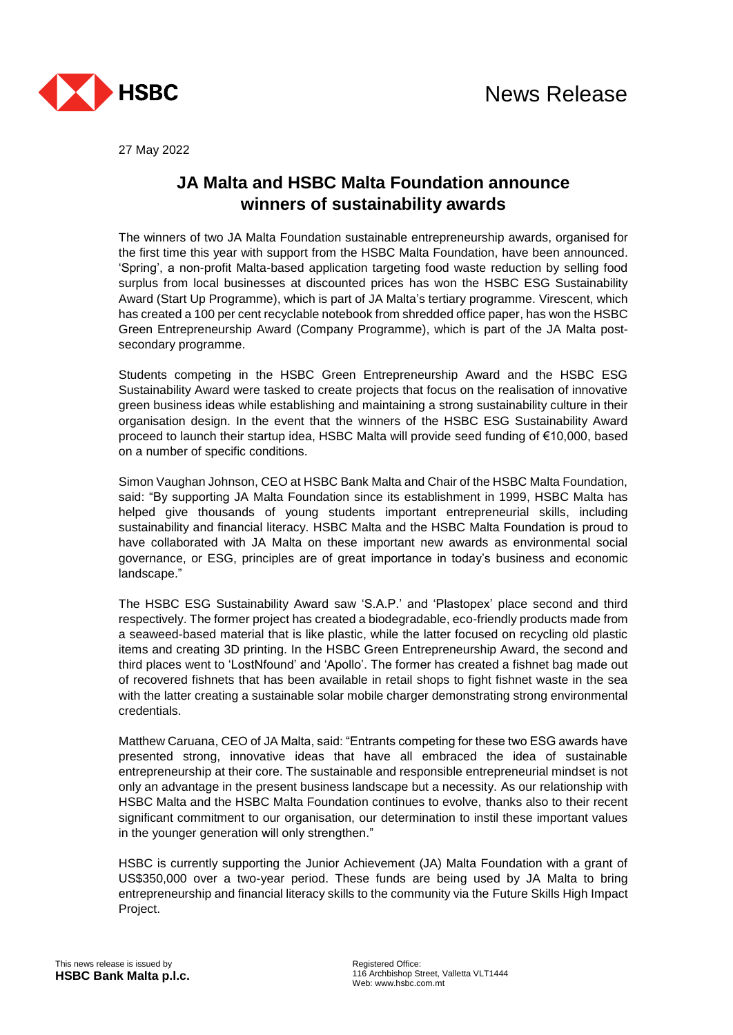

27 May 2022

## **JA Malta and HSBC Malta Foundation announce winners of sustainability awards**

The winners of two JA Malta Foundation sustainable entrepreneurship awards, organised for the first time this year with support from the HSBC Malta Foundation, have been announced. 'Spring', a non-profit Malta-based application targeting food waste reduction by selling food surplus from local businesses at discounted prices has won the HSBC ESG Sustainability Award (Start Up Programme), which is part of JA Malta's tertiary programme. Virescent, which has created a 100 per cent recyclable notebook from shredded office paper, has won the HSBC Green Entrepreneurship Award (Company Programme), which is part of the JA Malta postsecondary programme.

Students competing in the HSBC Green Entrepreneurship Award and the HSBC ESG Sustainability Award were tasked to create projects that focus on the realisation of innovative green business ideas while establishing and maintaining a strong sustainability culture in their organisation design. In the event that the winners of the HSBC ESG Sustainability Award proceed to launch their startup idea, HSBC Malta will provide seed funding of €10,000, based on a number of specific conditions.

Simon Vaughan Johnson, CEO at HSBC Bank Malta and Chair of the HSBC Malta Foundation, said: "By supporting JA Malta Foundation since its establishment in 1999, HSBC Malta has helped give thousands of young students important entrepreneurial skills, including sustainability and financial literacy. HSBC Malta and the HSBC Malta Foundation is proud to have collaborated with JA Malta on these important new awards as environmental social governance, or ESG, principles are of great importance in today's business and economic landscape."

The HSBC ESG Sustainability Award saw 'S.A.P.' and 'Plastopex' place second and third respectively. The former project has created a biodegradable, eco-friendly products made from a seaweed-based material that is like plastic, while the latter focused on recycling old plastic items and creating 3D printing. In the HSBC Green Entrepreneurship Award, the second and third places went to 'LostNfound' and 'Apollo'. The former has created a fishnet bag made out of recovered fishnets that has been available in retail shops to fight fishnet waste in the sea with the latter creating a sustainable solar mobile charger demonstrating strong environmental credentials.

Matthew Caruana, CEO of JA Malta, said: "Entrants competing for these two ESG awards have presented strong, innovative ideas that have all embraced the idea of sustainable entrepreneurship at their core. The sustainable and responsible entrepreneurial mindset is not only an advantage in the present business landscape but a necessity. As our relationship with HSBC Malta and the HSBC Malta Foundation continues to evolve, thanks also to their recent significant commitment to our organisation, our determination to instil these important values in the younger generation will only strengthen."

HSBC is currently supporting the Junior Achievement (JA) Malta Foundation with a grant of US\$350,000 over a two-year period. These funds are being used by JA Malta to bring entrepreneurship and financial literacy skills to the community via the Future Skills High Impact Project.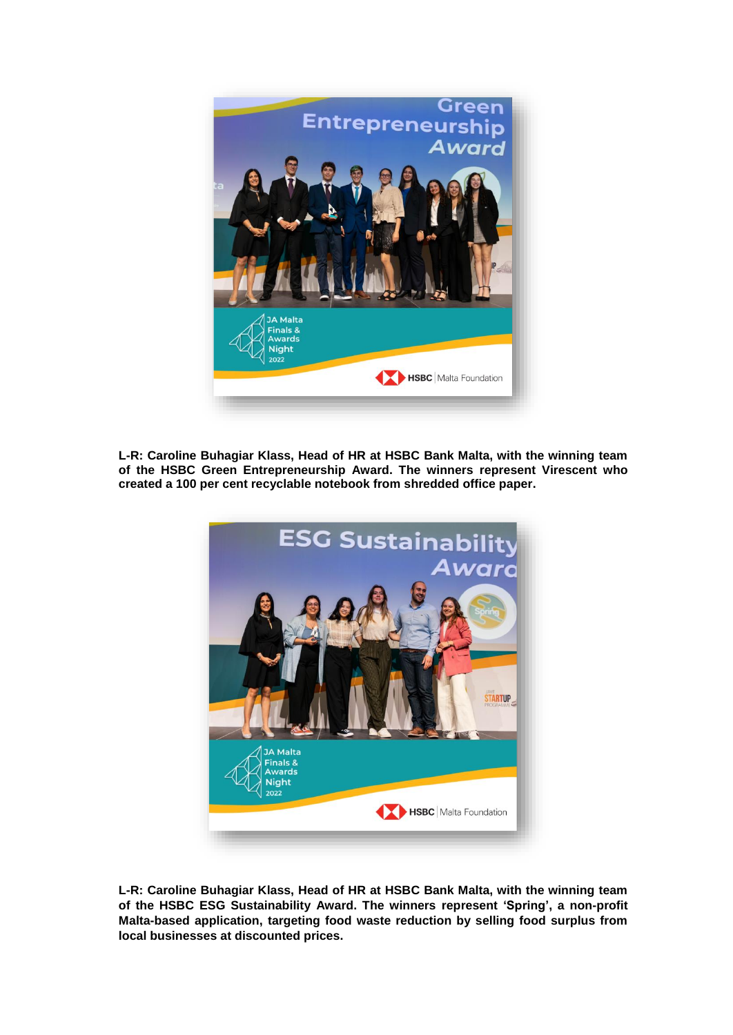

**L-R: Caroline Buhagiar Klass, Head of HR at HSBC Bank Malta, with the winning team of the HSBC Green Entrepreneurship Award. The winners represent Virescent who created a 100 per cent recyclable notebook from shredded office paper.**



**L-R: Caroline Buhagiar Klass, Head of HR at HSBC Bank Malta, with the winning team of the HSBC ESG Sustainability Award. The winners represent 'Spring', a non-profit Malta-based application, targeting food waste reduction by selling food surplus from local businesses at discounted prices.**